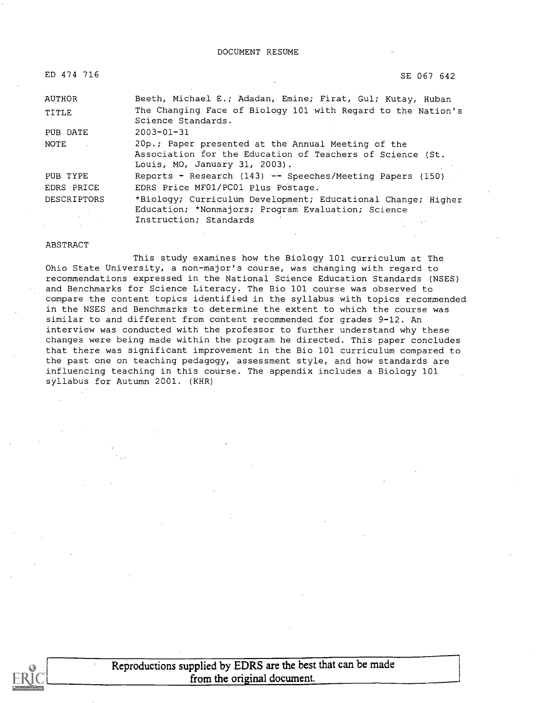| ED 474 716         | SE 067 642                                                                                                                                       |
|--------------------|--------------------------------------------------------------------------------------------------------------------------------------------------|
| AUTHOR             | Beeth, Michael E.; Adadan, Emine; Firat, Gul; Kutay, Huban                                                                                       |
| TITLE              | The Changing Face of Biology 101 with Regard to the Nation's<br>Science Standards.                                                               |
| PUB DATE           | $2003 - 01 - 31$                                                                                                                                 |
| NOTE               | 20p.; Paper presented at the Annual Meeting of the<br>Association for the Education of Teachers of Science (St.<br>Louis, MO, January 31, 2003). |
| PUB TYPE           | Reports - Research (143) -- Speeches/Meeting Papers (150)                                                                                        |
| EDRS PRICE         | EDRS Price MF01/PC01 Plus Postage.                                                                                                               |
| <b>DESCRIPTORS</b> | *Biology; Curriculum Development; Educational Change; Higher<br>Education; *Nonmajors; Program Evaluation; Science<br>Instruction; Standards     |

#### ABSTRACT

This study examines how the Biology 101 curriculum at The Ohio State University, a non-major's course, was changing with regard to recommendations expressed in the National Science Education Standards (NSES) and Benchmarks for Science Literacy. The Bio 101 course was observed to compare the content topics identified in the syllabus with topics recommended in the NSES and Benchmarks to determine the extent to which the course was similar to and different from content recommended for grades 9-12. An interview was conducted with the professor to further understand why these changes were being made within the program he directed. This paper concludes that there was significant improvement in the Bio 101 curriculum compared to the past one on teaching pedagogy, assessment style, and how standards are influencing teaching in this course. The appendix includes a Biology 101 syllabus for Autumn 2001. (KHR)



Reproductions supplied by EDRS are the best that can be made from the original document.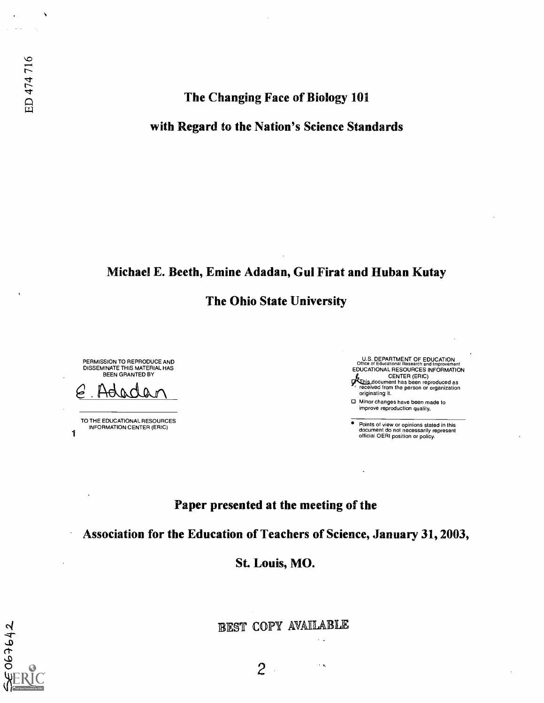## The Changing Face of Biology 101

## with Regard to the Nation's Science Standards

## Michael E. Beeth, Emine Adadan, Gui Firat and Huban Kutay

The Ohio State University

PERMISSION TO REPRODUCE AND DISSEMINATE THIS MATERIAL HAS BEEN GRANTED BY

Hadan

TO THE EDUCATIONAL RESOURCES INFORMATION CENTER (ERIC)

1

E067642



Points of view or opinions stated in this document do not necessarily represent official OERI position or policy.

## Paper presented at the meeting of the

Association for the Education of Teachers of Science, January 31, 2003,

St. Louis, MO.

BEST COPY AVAILABLE

 $\ddotsc$ 

 $\sim$   $\sim$ 

2

ED 474716

 $\lambda$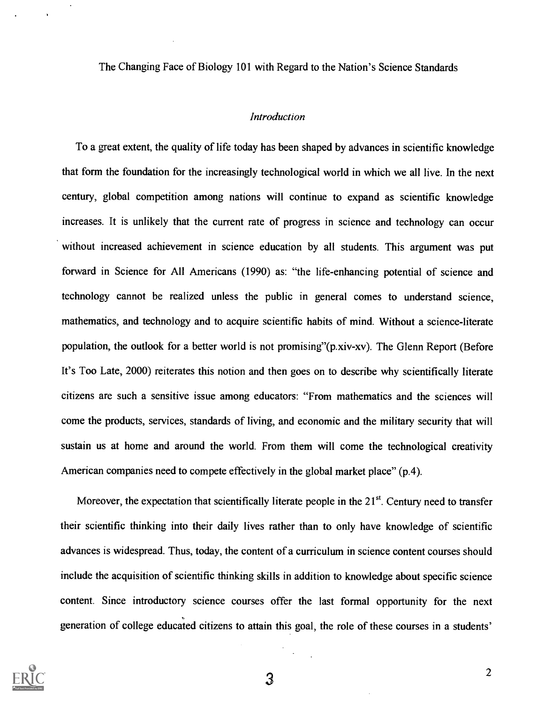The Changing Face of Biology 101 with Regard to the Nation's Science Standards

#### Introduction

To a great extent, the quality of life today has been shaped by advances in scientific knowledge that form the foundation for the increasingly technological world in which we all live. In the next century, global competition among nations will continue to expand as scientific knowledge increases. It is unlikely that the current rate of progress in science and technology can occur without increased achievement in science education by all students. This argument was put forward in Science for All Americans (1990) as: "the life-enhancing potential of science and technology cannot be realized unless the public in general comes to understand science, mathematics, and technology and to acquire scientific habits of mind. Without a science-literate population, the outlook for a better world is not promising"(p.xiv-xv). The Glenn Report (Before It's Too Late, 2000) reiterates this notion and then goes on to describe why scientifically literate citizens are such a sensitive issue among educators: "From mathematics and the sciences will come the products, services, standards of living, and economic and the military security that will sustain us at home and around the world. From them will come the technological creativity American companies need to compete effectively in the global market place" (p.4).

Moreover, the expectation that scientifically literate people in the  $21<sup>st</sup>$ . Century need to transfer their scientific thinking into their daily lives rather than to only have knowledge of scientific advances is widespread. Thus, today, the content of a curriculum in science content courses should include the acquisition of scientific thinking skills in addition to knowledge about specific science content. Since introductory science courses offer the last formal opportunity for the next generation of college educated citizens to attain this goal, the role of these courses in a students'

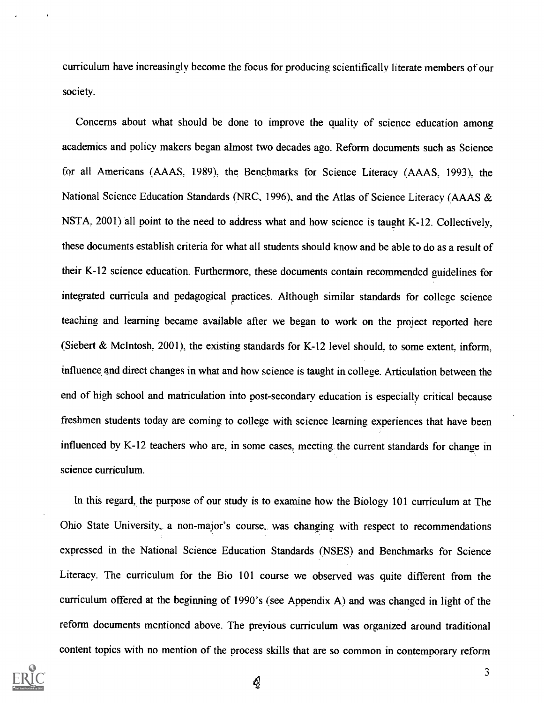curriculum have increasingly become the focus for producing scientifically literate members ofour society.

Concerns about what should be done to improve the quality of science education among academics and policy makers began almost two decades ago. Reform documents such as Science for all Americans (AAAS, 1989), the Benchmarks for Science Literacy (AAAS, 1993), the National Science Education Standards (NRC, 1996), and the Atlas of Science Literacy (AAAS & NSTA, 2001) all point to the need to address what and how science is taught K-12. Collectively, these documents establish criteria for what all students should know and be able to do as a result of their K-12 science education. Furthermore; these documents contain recommended guidelines for integrated curricula and pedagogical practices. Although similar standards for college science teaching and learning became available after we began to work on the project reported here (Siebert & McIntosh, 2001), the existing standards for K-12 level should, to some extent, inform, influence and direct changes in what and how science is taught in college. Articulation between the end of high school and matriculation into post-secondary education is especially critical because freshmen students today are coming to college with science learning experiences that have been influenced by K-12 teachers who are, in some cases, meeting. the current standards for change in science curriculum.

In this regard, the purpose of our study is to examine how the Biology 101 curriculum at The Ohio State University, a non-major's course, was changing with respect to recommendations expressed in the National Science Education Standards (NSES) and Benchmarks for Science Literacy. The curriculum for the Bio 101 course we observed was quite different from the curriculum offered at the beginning of 1990's (see Appendix A) and was changed in light of the reform documents mentioned above. The previous curriculum was organized around traditional content topics with no mention of the process skills that are so common in contemporary reform

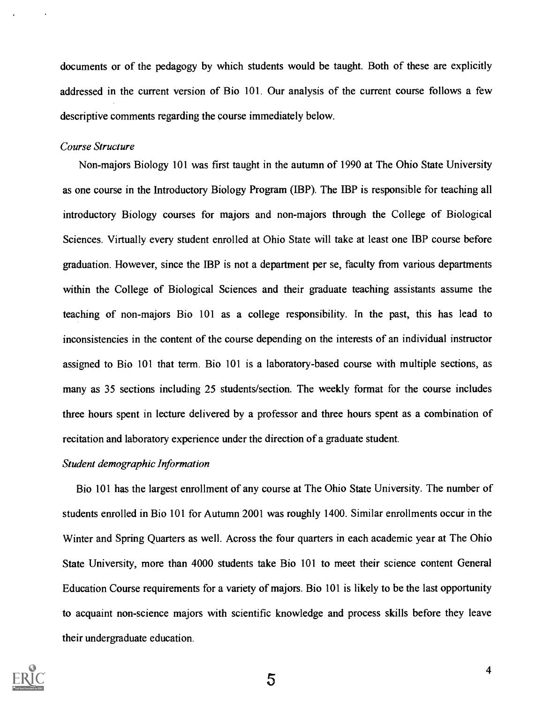documents or of the pedagogy by which students would be taught. Both of these are explicitly addressed in the current version of Bio 101. Our analysis of the current course follows a few descriptive comments regarding the course immediately below.

#### Course Structure

Non-majors Biology 101 was first taught in the autumn of 1990 at The Ohio State University as one course in the Introductory Biology Program (IBP). The IBP is responsible for teaching all introductory Biology courses for majors and non-majors through the College of Biological Sciences. Virtually every student enrolled at Ohio State will take at least one IBP course before graduation. However, since the IBP is not a department per se, faculty from various departments within the College of Biological Sciences and their graduate teaching assistants assume the teaching of non-majors Bio 101 as a college responsibility. In the past, this has lead to inconsistencies in the content of the course depending on the interests of an individual instructor assigned to Bio 101 that term. Bio 101 is a laboratory-based course with multiple sections, as many as 35 sections including 25 students/section. The weekly format for the course includes three hours spent in lecture delivered by a professor and three hours spent as a combination of recitation and laboratory experience under the direction of a graduate student.

#### Student demographic Information

Bio 101 has the largest enrollment of any course at The Ohio State University. The number of students enrolled in Bio 101 for Autumn 2001 was roughly 1400. Similar enrollments occur in the Winter and Spring Quarters as well. Across the four quarters in each academic year at The Ohio State University, more than 4000 students take Bio 101 to meet their science content General Education Course requirements for a variety of majors. Bio 101 is likely to be the last opportunity to acquaint non-science majors with scientific knowledge and process skills before they leave their undergraduate education.

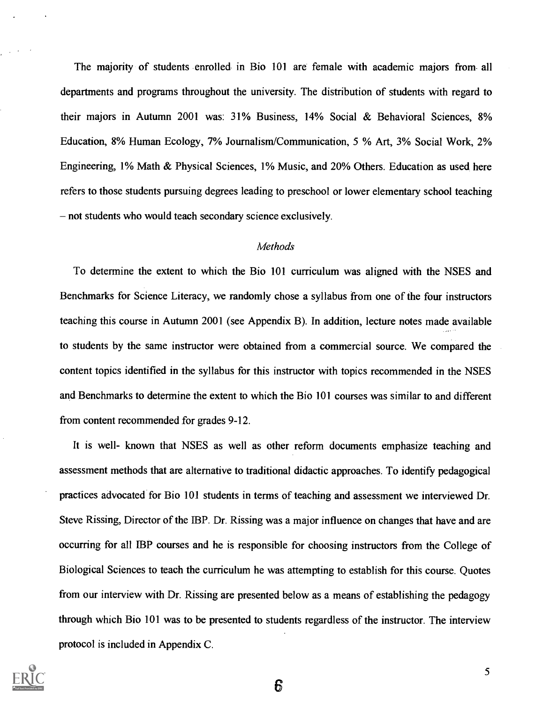The majority of students enrolled in Bio 101 are female with academic majors from- all departments and programs throughout the university. The distribution of students with regard to their majors in Autumn 2001 was: 31% Business, 14% Social & Behavioral Sciences, 8% Education, 8% Human Ecology, 7% Journalism/Communication, 5 % Art, 3% Social Work, 2% Engineering, 1% Math & Physical Sciences, 1% Music, and 20% Others. Education as used here refers to those students pursuing degrees leading to preschool or lower elementary school teaching - not students who would teach secondary science exclusively.

#### **Methods**

To determine the extent to which the Bio 101 curriculum was aligned with the NSES and Benchmarks for Science Literacy, we randomly chose a syllabus from one of the four instructors teaching this course in Autumn 2001 (see Appendix B). In addition, lecture notes made available to students by the same instructor were obtained from a commercial source. We compared the content topics identified in the syllabus for this instructor with topics recommended in the NSES and Benchmarks to determine the extent to which the Bio 101 courses was similar to and different from content recommended for grades 9-12.

It is well- known that NSES as well as other reform documents emphasize teaching and assessment methods that are alternative to traditional didactic approaches. To identify pedagogical practices advocated for Bio 101 students in terms of teaching and assessment we interviewed Dr. Steve Rissing, Director of the IBP. Dr. Rissing was a major influence on changes that have and are occurring for all IBP courses and he is responsible for choosing instructors from the College of Biological Sciences to teach the curriculum he was attempting to establish for this course. Quotes from our interview with Dr. Rissing are presented below as a means of establishing the pedagogy through which Bio 101 was to be presented to students regardless of the instructor. The interview protocol is included in Appendix C.

6

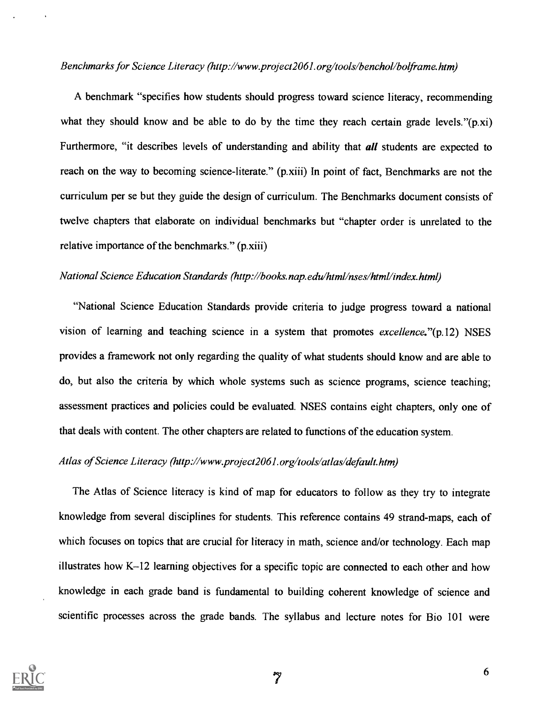#### Benchmarks for Science Literacy (http://www.project2061.org/tools/benchol/bolframe.htm)

A benchmark "specifies how students should progress toward science literacy, recommending what they should know and be able to do by the time they reach certain grade levels."(p.xi) Furthermore, "it describes levels of understanding and ability that *all* students are expected to reach on the way to becoming science-literate." (p.xiii) In point of fact, Benchmarks are not the curriculum per se but they guide the design of curriculum. The Benchmarks document consists of twelve chapters that elaborate on individual benchmarks but "chapter order is unrelated to the relative importance of the benchmarks." (p.xiii)

## National Science Education Standards (http://books.nap.edu/html/nses/html/index.html)

"National Science Education Standards provide criteria to judge progress toward a national vision of learning and teaching science in a system that promotes *excellence*."(p.12) NSES provides a framework not only regarding the quality of what students should know and are able to do, but also the criteria by which whole systems such as science programs, science teaching; assessment practices and policies could be evaluated. NSES contains eight chapters, only one of that deals with content. The other chapters are related to functions of the education system.

## Atlas of Science Literacy (http://www.project2061.org/tools/atlas/default.htm)

The Atlas of Science literacy is kind of map for educators to follow as they try to integrate knowledge from several disciplines for students. This reference contains 49 strand-maps, each of which focuses on topics that are crucial for literacy in math, science and/or technology. Each map illustrates how  $K-12$  learning objectives for a specific topic are connected to each other and how knowledge in each grade band is fundamental to building coherent knowledge of science and scientific processes across the grade bands. The syllabus and lecture notes for Bio 101 were

 $\mathcal{L}$ 

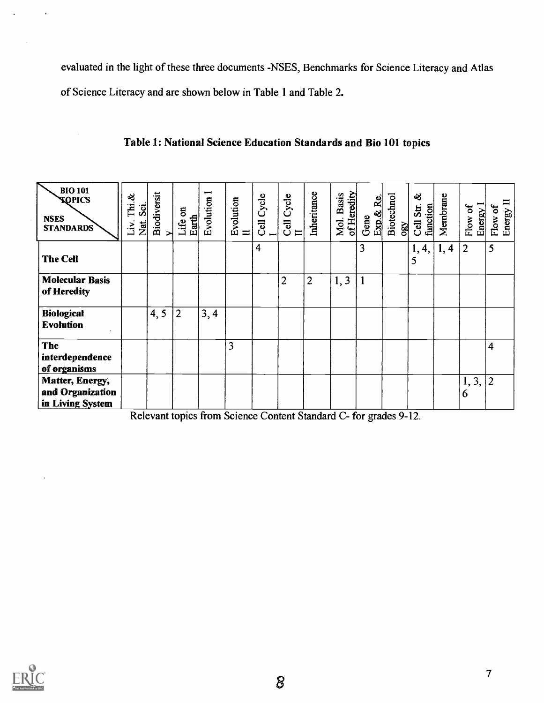evaluated in the light of these three documents -NSES, Benchmarks for Science Literacy and Atlas of Science Literacy and are shown below in Table 1 and Table 2.

| <b>BIO 101</b><br><b>TOPICS</b><br><b>NSES</b><br><b>STANDARDS</b> | ન્ઝ્<br>Тні.<br>Sci<br>Nat.<br>$\ddot{\varepsilon}$ | Biodiversit<br>× | $\mathbf{g}$<br>Earth<br>Life | Evolution | Evolution<br>$\mathbf{I}$ | Cell Cycle     | Cell Cycle<br>$\frac{\Pi}{\Pi}$ | Inheritance    | of Heredity<br>Mol. Basis | Exp.& Re<br>Gene | Biotechnol<br>OBY | ಷ<br>function<br>Cell Str. | Membrane | Energy 1<br>Flow of | Flow of<br>Energy II |
|--------------------------------------------------------------------|-----------------------------------------------------|------------------|-------------------------------|-----------|---------------------------|----------------|---------------------------------|----------------|---------------------------|------------------|-------------------|----------------------------|----------|---------------------|----------------------|
| <b>The Cell</b>                                                    |                                                     |                  |                               |           |                           | $\overline{4}$ |                                 |                |                           | 3                |                   | 1, 4,<br>5                 | 1, 4     | $\overline{2}$      | 5                    |
| <b>Molecular Basis</b><br>of Heredity                              |                                                     |                  |                               |           |                           |                | $\overline{2}$                  | $\overline{2}$ | 1, 3                      |                  |                   |                            |          |                     |                      |
| <b>Biological</b><br><b>Evolution</b>                              |                                                     | 4, 5             | $\overline{2}$                | 3, 4      |                           |                |                                 |                |                           |                  |                   |                            |          |                     |                      |
| <b>The</b>                                                         |                                                     |                  |                               |           | 3                         |                |                                 |                |                           |                  |                   |                            |          |                     | $\overline{4}$       |
| interdependence                                                    |                                                     |                  |                               |           |                           |                |                                 |                |                           |                  |                   |                            |          |                     |                      |
| of organisms                                                       |                                                     |                  |                               |           |                           |                |                                 |                |                           |                  |                   |                            |          |                     |                      |
| Matter, Energy,                                                    |                                                     |                  |                               |           |                           |                |                                 |                |                           |                  |                   |                            |          | 1, 3,               | $ 2\rangle$          |
| and Organization                                                   |                                                     |                  |                               |           |                           |                |                                 |                |                           |                  |                   |                            |          | 6                   |                      |
| in Living System                                                   |                                                     |                  |                               |           |                           |                |                                 |                |                           |                  |                   |                            |          |                     |                      |

## Table 1: National Science Education Standards and Bio 101 topics

Relevant topics from Science Content Standard C- for grades 9-12.

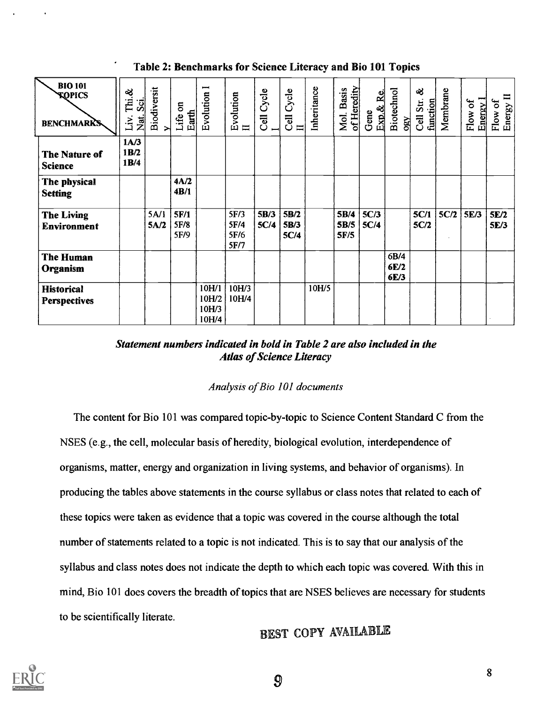## Table 2: Benchmarks for Science Literacy and Bio 101 Topics

| <b>BIO 101</b><br><b>KOPICS</b><br><b>BENCHMARKS</b> | ಳ<br>.<br>E<br>$\overline{\mathbf{S}}$<br>Nat.<br>Liv. | Biodiversit<br>↣ | Life on<br>Earth     | $\blacksquare$<br>Evolution      | Evolution<br>$\rm H$         | Cycle<br><b>Jell</b> | Cycle<br>$\frac{1}{\sqrt{2}}$ | Inheritance | of Heredity<br><b>Basis</b><br>Mol. | Exp.& Re<br>Gene | Biotechnol<br>OBY    | ಷ<br>Cell Str.<br>function | Membrane | Energy <sup>1</sup><br>Flow of | $\equiv$<br>Flow of<br>Energy I |
|------------------------------------------------------|--------------------------------------------------------|------------------|----------------------|----------------------------------|------------------------------|----------------------|-------------------------------|-------------|-------------------------------------|------------------|----------------------|----------------------------|----------|--------------------------------|---------------------------------|
| The Nature of<br><b>Science</b>                      | 1A/3<br>1B/2<br>1B/4                                   |                  |                      |                                  |                              |                      |                               |             |                                     |                  |                      |                            |          |                                |                                 |
| The physical<br><b>Setting</b>                       |                                                        |                  | 4A/2<br>4B/1         |                                  |                              |                      |                               |             |                                     |                  |                      |                            |          |                                |                                 |
| <b>The Living</b><br>Environment                     |                                                        | 5A/1<br>5A/2     | 5F/1<br>5F/8<br>5F/9 |                                  | 5F/3<br>5F/4<br>5F/6<br>5F/7 | 5B/3<br>5C/4         | 5B/2<br>5B/3<br>5C/4          |             | 5B/4<br>5B/5<br>5F/5                | 5C/3<br>5C/4     |                      | 5C/1<br>5C/2               | 5C/2     | 5E/3                           | 5E/2<br>5E/3                    |
| <b>The Human</b><br>Organism                         |                                                        |                  |                      |                                  |                              |                      |                               |             |                                     |                  | 6B/4<br>6E/2<br>6E/3 |                            |          |                                |                                 |
| <b>Historical</b><br><b>Perspectives</b>             |                                                        |                  |                      | 10H/1<br>10H/2<br>10H/3<br>10H/4 | 10H/3<br>10H/4               |                      |                               | 10H/5       |                                     |                  |                      |                            |          |                                |                                 |

## Statement numbers indicated in bold in Table 2 are also included in the **Atlas of Science Literacy**

### Analysis of Bio 101 documents

The content for Bio 101 was compared topic-by-topic to Science Content Standard C from the NSES (e.g., the cell, molecular basis of heredity, biological evolution, interdependence of organisms, matter, energy and organization in living systems, and behavior of organisms). In producing the tables above statements in the course syllabus or class notes that related to each of these topics were taken as evidence that a topic was covered in the course although the total number of statements related to a topic is not indicated. This is to say that our analysis of the syllabus and class notes does not indicate the depth to which each topic was covered. With this in mind, Bio 101 does covers the breadth of topics that are NSES believes are necessary for students to be scientifically literate.

BEST COPY AVAILABLE

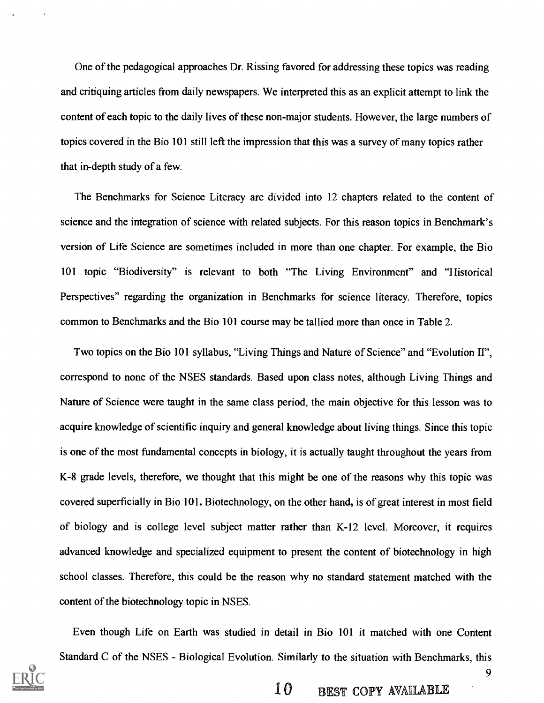One of the pedagogical approaches Dr. Rissing favored for addressing these topics was reading and critiquing articles from daily newspapers. We interpreted this as an explicit attempt to link the content of each topic to the daily lives of these non-major students. However, the large numbers of topics covered in the Bio 101 still left the impression that this was a survey of many topics rather that in-depth study of a few.

The Benchmarks for Science Literacy are divided into 12 chapters related to the content of science and the integration of science with related subjects. For this reason topics in Benchmark's version of Life Science are sometimes included in more than one chapter. For example, the Bio 101 topic "Biodiversity" is relevant to both "The Living Environment" and "Historical Perspectives" regarding the organization in Benchmarks for science literacy. Therefore, topics common to Benchmarks and the Bio 101 course may be tallied more than once in Table 2.

Two topics on the Bio 101 syllabus, "Living Things and Nature of Science" and "Evolution II", correspond to none of the NSES standards. Based upon class notes, although Living Things and Nature of Science were taught in the same class period, the main objective for this lesson was to acquire knowledge of scientific inquiry and general knowledge about living things. Since this topic is one of the most fundamental concepts in biology, it is actually taught throughout the years from K-8 grade levels, therefore, we thought that this might be one of the reasons why this topic was covered superficially in Bio 101. Biotechnology, on the other hand, is of great interest in most field of biology and is college level subject matter rather than K-12 level. Moreover, it requires advanced knowledge and specialized equipment to present the content of biotechnology in high school classes. Therefore, this could be the reason why no standard statement matched with the content of the biotechnology topic in NSES.

Even though Life on Earth was studied in detail in Bio 101 it matched with one Content





 $10$  BEST COPY AVAILABLE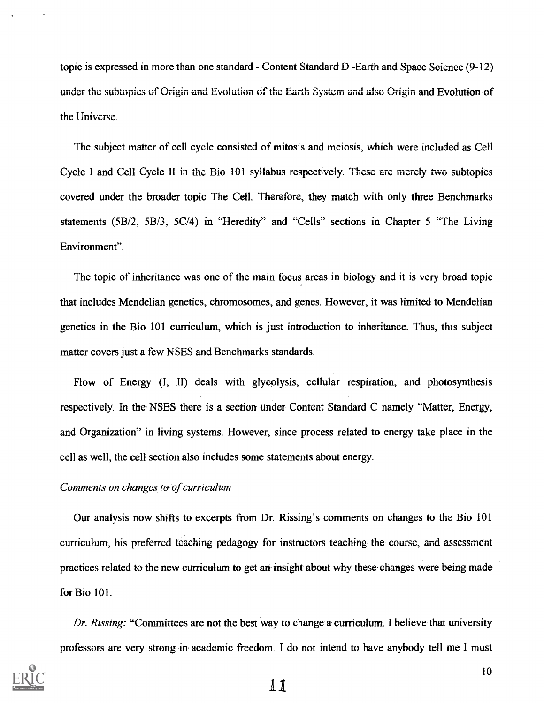topic is expressed in more than one standard - Content Standard D -Earth and Space Science (9-12) under the subtopics of Origin and Evolution of the Earth System and also Origin and Evolution-of the Universe.

The subject matter of cell cycle consisted of mitosis and meiosis, which were included as Cell Cycle I and Cell Cycle II in the Bio 101 syllabus respectively. These are merely two subtopics covered under the broader topic The Cell. Therefore, they match with only three Benchmarks statements (5B/2, 5B/3, 5C/4) in "Heredity" and "Cells" sections in Chapter 5 "The Living Environment".

The topic of inheritance was one of the main focus areas in biology and it is very broad topic that includes Mendelian genetics, chromosomes, and genes. However, it was limited to Mendelian genetics in the Bio 101 curriculum, which is just introduction to inheritance. Thus, this subject matter covers just a few NSES and Benchmarks standards.

Flow of Energy (I, II) deals with glycolysis, cellular respiration, and photosynthesis respectively. In the NSES there is a section under Content Standard C namely "Matter, Energy, and Organization" in living systems. However, since process related to energy take place in the cell as well, the cell section also includes some statements about energy.

#### Comments-on changes to of curriculum

Our analysis now shifts to excerpts from Dr. Rissing's comments on changes to the Bio 101 curriculum, his preferred teaching pedagogy for instructors teaching the course, and assessment practices related to the new curriculum to get an insight about why these- changes were being made for Bio 101.

Dr. Rissing: "Committees are not the best way to change a curriculum. I believe that university professors are very strong in- academic freedom. I do not intend to have anybody tell me I must

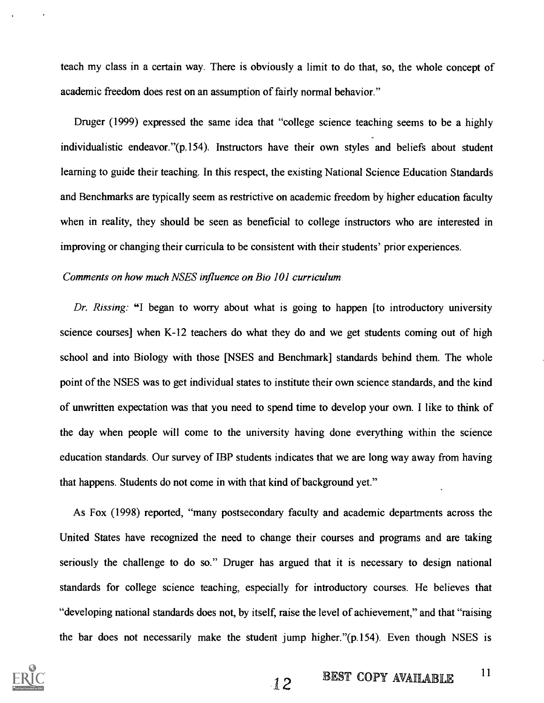teach my class in a certain way. There is obviously a limit to do that, so, the whole concept of academic freedom does rest on an assumption of fairly normal behavior."

Druger (1999) expressed the same idea that "college science teaching seems to be a highly individualistic endeavor."(p.154). Instructors have their own styles and beliefs about student learning to guide their teaching. In this respect, the existing National Science Education Standards and Benchmarks are typically seem as restrictive on academic freedom by higher education faculty when in reality, they should be seen as beneficial to college instructors who are interested in improving or changing their curricula to be consistent with their students' prior experiences.

#### Comments on how much NSES influence on Bio 101 curriculum

Dr. Rissing: "I began to worry about what is going to happen [to introductory university science courses] when K-12 teachers do what they do and we get students coming out of high school and into Biology with those [NSES and Benchmark] standards behind them. The whole point of the NSES was to get individual states to institute their own science standards, and the kind of unwritten expectation was that you need to spend time to develop your own. I like to think of the day when people will come to the university having done everything within the science education standards. Our survey of IBP students indicates that we are long way away from having that happens. Students do not come in with that kind of background yet."

As Fox (1998) reported, "many postsecondary faculty and academic departments across the United States have recognized the need to change their courses and programs and are taking seriously the challenge to do so." Druger has argued that it is necessary to design national standards for college science teaching, especially for introductory courses. He believes that "developing national standards does not, by itself, raise the level of achievement," and that "raising the bar does not necessarily make the student jump higher."(p.154). Even though NSES is

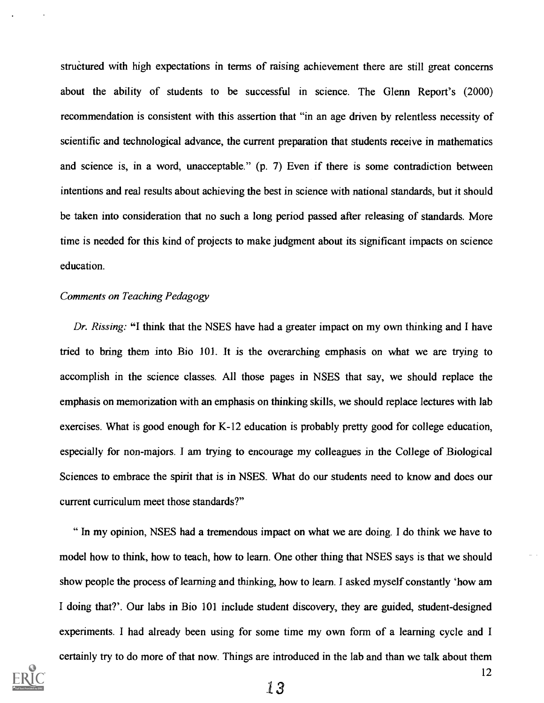structured with high expectations in terms of raising achievement there are still great concerns about the ability of students to be successful in science. The Glenn Report's (2000) recommendation is consistent with this assertion that "in an age driven by relentless necessity of scientific and technological advance, the current preparation that students receive in mathematics and science is, in a word, unacceptable." (p. 7) Even if there is some contradiction between intentions and real results about achieving the best in science with national standards, but it should be taken into consideration that no such a long period passed after releasing of standards. More time is needed for this kind of projects to make judgment about its significant impacts on science education.

#### Comments on Teaching Pedagogy

Dr. Rissing: "I think that the NSES have had a greater impact on my own thinking and I have tried to bring them into Bio 101. It is the overarching emphasis on what we are trying to accomplish in the science classes. All those pages in NSES that say, we should replace the emphasis on memorization with an emphasis on thinking skills, we should replace lectures with lab exercises. What is good enough for K-12 education is probably pretty good for college education, especially for non-majors. I am trying to encourage my colleagues in the College of Biological Sciences to embrace the spirit that is in NSES. What do our students need to know and does our current curriculum meet those standards?"

" In my opinion, NSES had a tremendous impact on what we are doing. I do think we have to model how to think, how to teach, how to learn. One other thing that NSES says is that we should show people the process of learning and thinking, how to learn. I asked myself constantly 'how am I doing that?'. Our labs in Bio 101 include student discovery, they are guided, student-designed experiments. I had already been using for some time my own form of a learning cycle and I certainly try to do more of that now. Things are introduced in the lab and than we talk about them

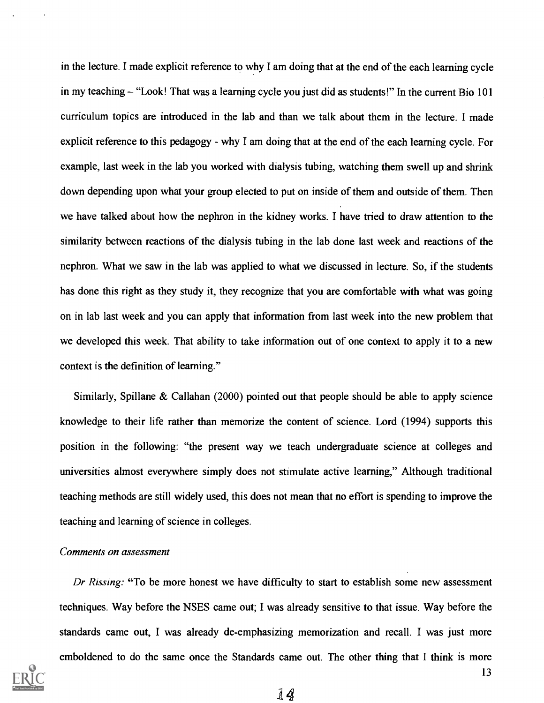in the lecture. I made explicit reference to why I am doing that at the end of the each learning cycle in my teaching  $-$  "Look! That was a learning cycle you just did as students!" In the current Bio 101 curriculum topics are introduced in the lab and than we talk about them in the lecture. I made explicit reference to this pedagogy - why I am doing that at the end of the each learning cycle. For example, last week in the lab you worked with dialysis tubing, watching them swell up and shrink down depending upon what your group elected to put on inside of them and outside of them. Then we have talked about how the nephron in the kidney works. I have tried to draw attention to the similarity between reactions of the dialysis tubing in the lab done last week and reactions of the nephron. What we saw in the lab was applied to what we discussed in lecture. So, if the students has done this right as they study it, they recognize that you are comfortable with what was going on in lab last week and you can apply that information from last week into the new problem that we developed this week. That ability to take information out of one context to apply it to a new context is the definition of learning."

Similarly, Spillane & Callahan (2000) pointed out that people should be able to apply science knowledge to their life rather than memorize the content of science. Lord (1994) supports this position in the following: "the present way we teach undergraduate science at colleges and universities almost everywhere simply does not stimulate active learning," Although traditional teaching methods are still widely used, this does not mean that no effort is spending to improve the teaching and learning of science in colleges.

#### Comments on assessment

Dr Rissing: "To be more honest we have difficulty to start to establish some new assessment techniques. Way before the NSES came out; I was already sensitive to that issue. Way before the standards came out, I was already de-emphasizing memorization and recall. I was just more emboldened to do the same once the Standards came out. The other thing that I think is more

14

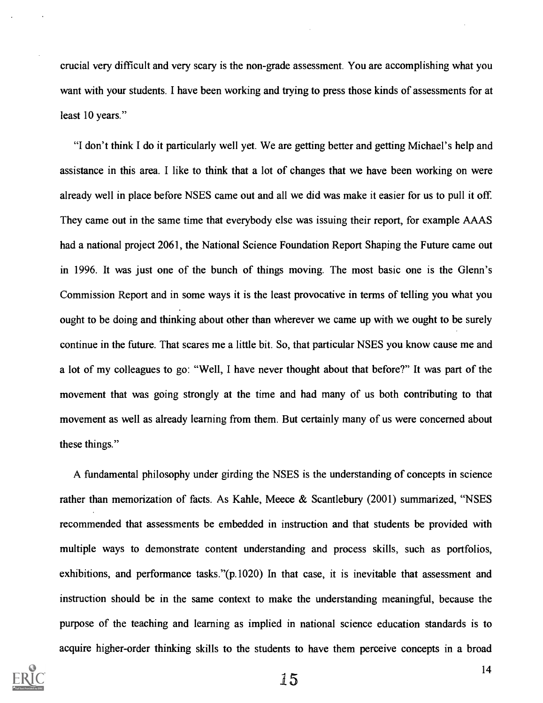crucial very difficult and very scary is the non-grade assessment. You are accomplishing what you want with your students. I have been working and trying to press those kinds of assessments for at least 10 years."

"I don't think I do it particularly well yet. We are getting better and getting Michael's help and assistance in this area. I like to think that a lot of changes that we have been working on were already well in place before NSES came out and all we did was make it easier for us to pull it off. They came out in the same time that everybody else was issuing their report, for example AAAS had a national project 2061, the National Science Foundation Report Shaping the Future came out in 1996. It was just one of the bunch of things moving. The most basic one is the Glenn's Commission Report and in some ways it is the least provocative in terms of telling you what you ought to be doing and thinking about other than wherever we came up with we ought to be surely continue in the future. That scares me a little bit. So, that particular NSES you know cause me and a lot of my colleagues to go: "Well, I have never thought about that before?" It was part of the movement that was going strongly at the time and had many of us both contributing to that movement as well as already learning from them. But certainly many of us were concerned about these things."

A fundamental philosophy under girding the NSES is the understanding of concepts in science rather than memorization of facts. As Kahle, Meece & Scantlebury (2001) summarized, "NSES recommended that assessments be embedded in instruction and that students be provided with multiple ways to demonstrate content understanding and process skills, such as portfolios, exhibitions, and performance tasks."(p.1020) In that case, it is inevitable that assessment and instruction should be in the same context to make the understanding meaningful, because the purpose of the teaching and learning as implied in national science education standards is to acquire higher-order thinking skills to the students to have them perceive concepts in a broad

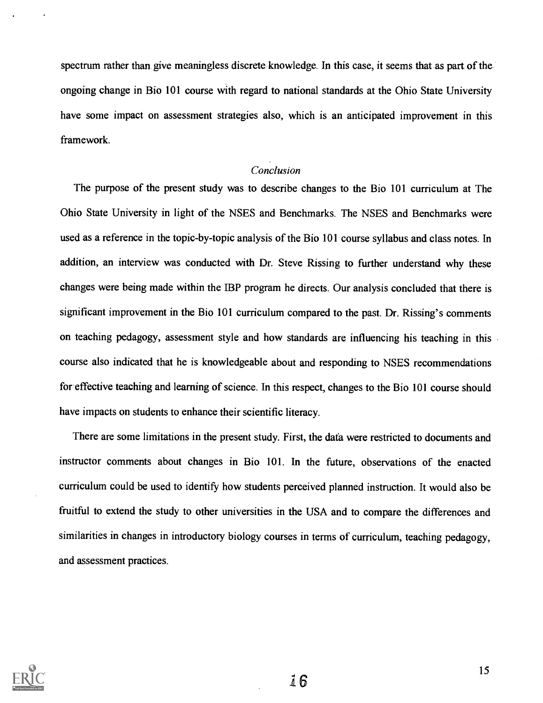spectrum rather than give meaningless discrete knowledge. In this case, it seems that as part of the ongoing change in Bio 101 course with regard to national standards at the Ohio State University have some impact on assessment strategies also, which is an anticipated improvement in this framework.

## Conclusion

The purpose of the present study was to describe changes to the Bio 101 curriculum at The Ohio State University in light of the NSES and Benchmarks. The NSES and Benchmarks were used as a reference in the topic-by-topic analysis of the Bio 101 course syllabus and class notes. In addition, an interview was conducted with Dr. Steve Rissing to further understand why these changes were being made within the IBP program he directs. Our analysis concluded that there is significant improvement in the Bio 101 curriculum compared to the past. Dr. Rissing's comments on teaching pedagogy, assessment style and how standards are influencing his teaching in this course also indicated that he is knowledgeable about and responding to NSES recommendations for effective teaching and learning of science. In this respect, changes to the Bio 101 course should have impacts on students to enhance their scientific literacy.

There are some limitations in the present study. First, the data were restricted to documents and instructor comments about changes in Bio 101. In the future, observations of the enacted curriculum could be used to identify how students perceived planned instruction. It would also be fruitful to extend the study to other universities in the USA and to compare the differences and similarities in changes in introductory biology courses in terms of curriculum, teaching pedagogy, and assessment practices.

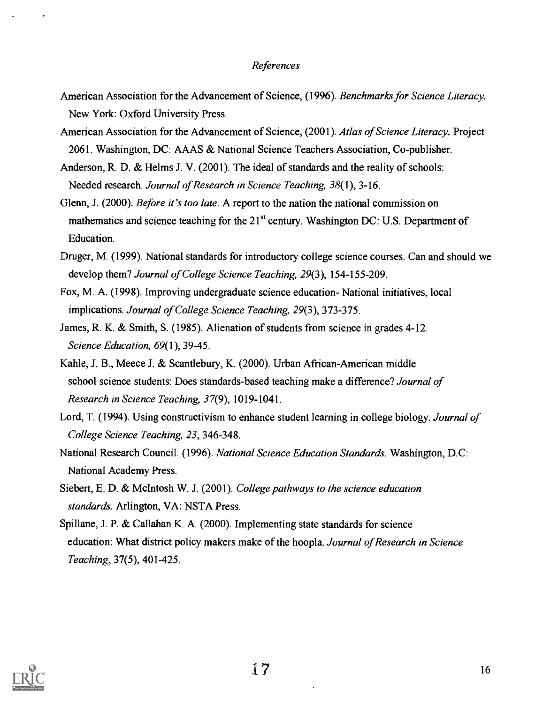#### References

- American Association for the Advancement of Science, (1996). Benchmarks for Science Literacy. New York: Oxford University Press.
- American Association for the Advancement of Science, (2001). Atlas of Science Literacy. Project 2061. Washington, DC: AAAS & National Science Teachers Association, Co-publisher.
- Anderson, R. D. & Helms J. V. (2001). The ideal of standards and the reality of schools: Needed research. Journal of Research in Science Teaching, 38(1), 3-16.
- Glenn, J. (2000). *Before it's too late*. A report to the nation the national commission on mathematics and science teaching for the 21<sup>st</sup> century. Washington DC: U.S. Department of Education.
- Druger, M. (1999). National standards for introductory college science courses. Can and should we develop them? Journal of College Science Teaching, 29(3), 154-155-209.
- Fox, M. A. (1998). Improving undergraduate science education- National initiatives, local implications. Journal of College Science Teaching, 29(3), 373-375.
- James, R. K. & Smith, S. (1985). Alienation of students from science in grades 4-12. Science Education, 69(1), 39-45.
- Kahle, J. B., Meece J. & Scantlebury, K. (2000). Urban African-American middle school science students: Does standards-based teaching make a difference? Journal of Research in Science Teaching, 37(9), 1019-1041.
- Lord, T. (1994). Using constructivism to enhance student learning in college biology. Journal of College Science Teaching, 23, 346-348.
- National Research Council. (1996). National Science Education Standards. Washington, D.C: National Academy Press.
- Siebert, E. D. & McIntosh W. J. (2001). College pathways to the science education standards. Arlington, VA: NSTA Press.
- Spillane, J. P. & Callahan K. A. (2000). Implementing state standards for science education: What district policy makers make of the hoopla. Journal of Research in Science Teaching, 37(5), 401-425.

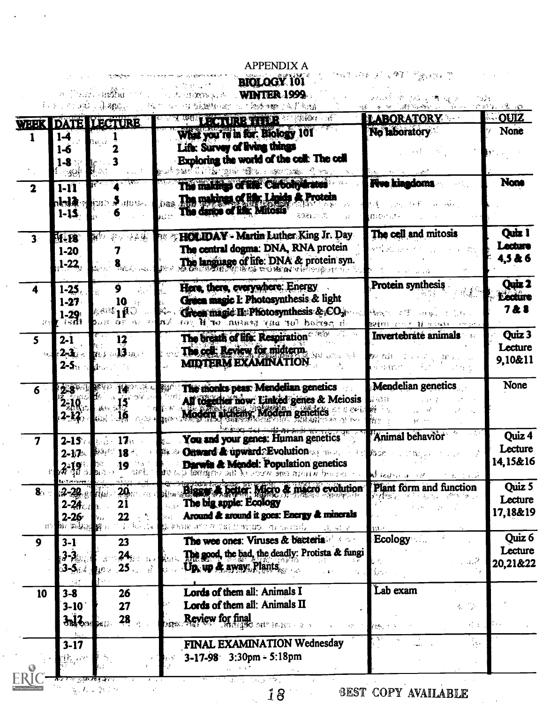|                        |                       | ज्या आर्की <b>ल</b><br>575 、宋安縣。 | <b>BIOLOGY 101</b><br><b>WINTER 1999</b><br>计图表传输                                    |                                                                       | ್ಲಿ ಪ              |
|------------------------|-----------------------|----------------------------------|--------------------------------------------------------------------------------------|-----------------------------------------------------------------------|--------------------|
| <b>TEEK</b>            |                       | <b>DATE LECTURE</b>              | <b>UPCTURE THERE IN 1989 C</b><br>a dell'                                            | <b>ILABORATORY</b>                                                    | <b>OUIZ</b>        |
|                        | 1-4                   |                                  | What you're in for. Biology 101                                                      | <b>No laboratory</b>                                                  | None               |
|                        | 1-6                   |                                  | Life: Survey of living things                                                        |                                                                       |                    |
|                        | $1-8$                 |                                  | Exploring the world of the cell: The cell                                            |                                                                       |                    |
|                        | الجمالي               |                                  | STORE SERVE THE STEEL OF THE STORE STORE<br>The makings of life: Carbonydrates       | <b>Five kinadoms</b>                                                  | None               |
| $\mathbf{2}$           | $1-11$                |                                  | Das The makings of life; Linids & Protein                                            |                                                                       |                    |
|                        | $r$ kalar<br>$1 - 15$ | √ans <i>≸</i> din sk             | The dance of life: Mitosis                                                           |                                                                       |                    |
|                        |                       |                                  | 8021.003                                                                             |                                                                       |                    |
| 3 <sup>1</sup>         | <b>BI-18</b>          | 爾特<br>净品锑                        | <b>HOLIDAY - Martin Luther King Jr. Day</b><br>PLE.                                  | The cell and mitosis                                                  | Quiz 1             |
|                        | $1-20$                |                                  | The central dogma: DNA, RNA protein                                                  |                                                                       | Lecture<br>4,5 & 6 |
|                        | $1 - 22$              |                                  | The language of life: DNA & protein syn.                                             |                                                                       |                    |
| 4                      |                       | 9                                | Here, there, everywhere: Energy                                                      | <b>Protein synthesis</b>                                              | Quiz 2             |
|                        | $1 - 25$<br>1-27      | 10                               | Gruen magic I: Photosynthesis & light                                                |                                                                       | <b>Lecture</b>     |
|                        | $1-29$ i              |                                  | Green magic II: Photosynthesis & CO <sub>2</sub>                                     |                                                                       | 728                |
| 24                     |                       |                                  | ton Blood for any generation of B por<br>88 F                                        | Invertebrate animals                                                  | Quiz 3             |
| 5                      | $2 - 1$               | 12                               | The breath of life: Respiration <sup>®</sup><br>The cell: Review for midterm.        |                                                                       | Lecture            |
|                        | $2 - 3$<br>$2 - 5$    | 81. S. 13 Januar                 | <b>MIDTERM EXAMINATION</b>                                                           |                                                                       | 9,10&11            |
|                        |                       |                                  |                                                                                      |                                                                       |                    |
| 6                      | 2.8                   |                                  | The monks peas: Mendelian genetics                                                   | <b>Mendelian genetics</b>                                             | None               |
|                        | 250.7                 |                                  | All together now: Linked genes & Meiosis                                             | bi Period                                                             |                    |
|                        | 2-17,                 |                                  | Modern alchemy, Modern genetics                                                      |                                                                       |                    |
|                        | $2 - 15$              | 17.                              | You and your genes: Human genetics                                                   | Animal behavior                                                       | Quiz 4             |
|                        | $2 - 17$              | 18                               | Onward & upward Evolution                                                            | <b>Bur</b>                                                            | Lecture            |
|                        | $3 - 19$              | 19                               | <b>Darwin &amp; Mendel: Population genetics</b>                                      |                                                                       | 14,15&16           |
|                        | <b>Reiterebren</b>    |                                  | STATE WHICH SHE WEEK of the CERA                                                     | $16.66 \times 1$                                                      | Quiz 5             |
| 8 <sub>1</sub>         | $2 - 28$              | 20.                              | Bigger & better. Micro & macro evolution                                             | Plant form and function<br>建物学                                        | Lecture            |
|                        | $2 - 24$<br>$2 - 26$  | 21<br>22                         | The big apple: Ecology<br>Around & around it goes: Energy & minerals                 |                                                                       | 17,18&19           |
| $\left< \cdot \right>$ | Ba 能越过                |                                  | This area on purchased as the said season<br>$\mathcal{A}=\mathcal{A}=\mathcal{A}$ . |                                                                       |                    |
| 9                      | $3-1$                 | 23                               | The wee ones: Viruses & bacteria.                                                    | Ecology                                                               | Quiz 6             |
|                        |                       | 24,                              | The good, the bad, the deadly: Protista & fungi                                      |                                                                       | Lecture            |
|                        | $3-5$                 | $25$ .<br>4Ì                     | Up, up & away: Plants                                                                | $\chi \sim \chi$ .                                                    | 20,21&22           |
|                        |                       |                                  | Lords of them all: Animals I                                                         | Lab exam                                                              |                    |
| 10                     | $3 - 8$<br>$3-10$     | 26<br>27                         | Lords of them all: Animals II                                                        | 松平                                                                    |                    |
|                        | $3.12 - 1.00$         | 28                               | Review for final                                                                     |                                                                       |                    |
|                        |                       |                                  | MB S                                                                                 | $\epsilon_{\rm{B}}$ .<br>$\mathcal{E}^{H_1 \times \cdots \times H_n}$ |                    |
|                        | $3 - 17$              |                                  | FINAL EXAMINATION Wednesday                                                          | $\sim$                                                                |                    |
|                        | 我一些                   |                                  | 3-17-98 3:30pm - 5:18pm                                                              |                                                                       |                    |
|                        |                       | ्रस्थ <b>ाल</b> कर               | - 45<br>14.000<br>الورادية                                                           |                                                                       |                    |

# APPENDIX A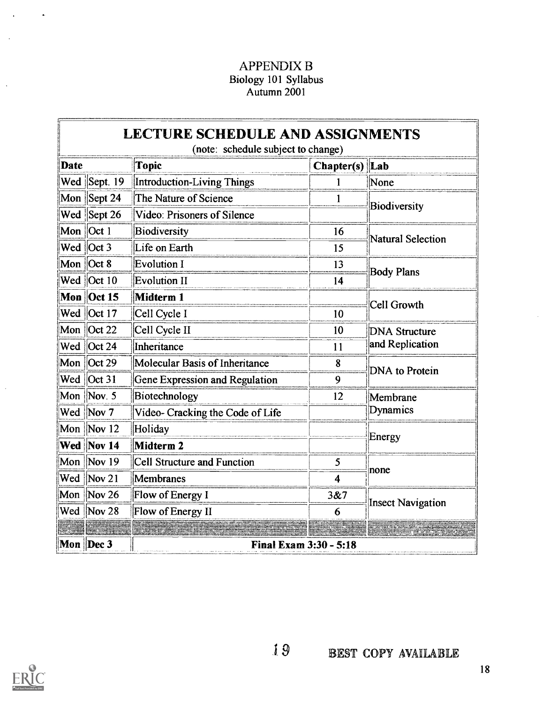# **APPENDIX B** Biology 101 Syllabus<br>Autumn 2001

|             |                                     | <b>LECTURE SCHEDULE AND ASSIGNMENTS</b><br>(note: schedule subject to change) |                |                          |  |  |  |  |
|-------------|-------------------------------------|-------------------------------------------------------------------------------|----------------|--------------------------|--|--|--|--|
| <b>Date</b> |                                     | <b>Topic</b>                                                                  | Chapter(s) Lab |                          |  |  |  |  |
|             | Wed Sept. 19                        | Introduction-Living Things                                                    |                | None                     |  |  |  |  |
|             | Mon Sept 24                         | The Nature of Science                                                         |                | Biodiversity             |  |  |  |  |
|             | Wed Sept 26                         | Video: Prisoners of Silence                                                   |                |                          |  |  |  |  |
|             | Mon $ Oct 1$                        | Biodiversity                                                                  | 16             | Natural Selection        |  |  |  |  |
|             | Wed Oct 3                           | Life on Earth                                                                 | 15             |                          |  |  |  |  |
|             | Mon $Oct 8$                         | <b>Evolution I</b>                                                            | 13             |                          |  |  |  |  |
|             | Wed $ Oct 10$                       | <b>Evolution II</b>                                                           | 14             | <b>Body Plans</b>        |  |  |  |  |
|             | Mon Oct 15                          | Midterm 1                                                                     |                | Cell Growth              |  |  |  |  |
|             | Wed Oct 17                          | Cell Cycle I                                                                  | 10             |                          |  |  |  |  |
|             | Mon $\vert$ Oct 22                  | Cell Cycle II                                                                 | 10             | <b>DNA Structure</b>     |  |  |  |  |
|             | Wed Oct 24                          | Inheritance                                                                   | 11             | and Replication          |  |  |  |  |
|             | Mon Oct 29                          | Molecular Basis of Inheritance                                                | 8              | <b>DNA</b> to Protein    |  |  |  |  |
|             | Wed $\left  \text{Oct } 31 \right $ | Gene Expression and Regulation                                                | 9              |                          |  |  |  |  |
|             | Mon Nov. 5                          | Biotechnology                                                                 | 12             | Membrane                 |  |  |  |  |
|             | Wed Nov 7                           | Video-Cracking the Code of Life                                               |                | Dynamics                 |  |  |  |  |
|             | Mon Nov 12                          | Holiday                                                                       |                |                          |  |  |  |  |
|             | Wed Nov 14                          | Midterm 2                                                                     |                | Energy                   |  |  |  |  |
|             | Mon Nov 19                          | Cell Structure and Function                                                   | 5              |                          |  |  |  |  |
|             | Wed Nov 21                          | Membranes                                                                     | 4              | none                     |  |  |  |  |
|             | Mon Nov 26                          | Flow of Energy I                                                              | 3&7            |                          |  |  |  |  |
|             | Wed Nov 28                          | Flow of Energy II                                                             | 6              | <b>Insect Navigation</b> |  |  |  |  |
|             |                                     |                                                                               |                |                          |  |  |  |  |
|             | Mon Dec 3                           | <b>Final Exam 3:30 - 5:18</b>                                                 |                |                          |  |  |  |  |



 $\hat{\phantom{a}}$ 

 $\ddot{\phantom{a}}$ 

 $\ddot{\phantom{a}}$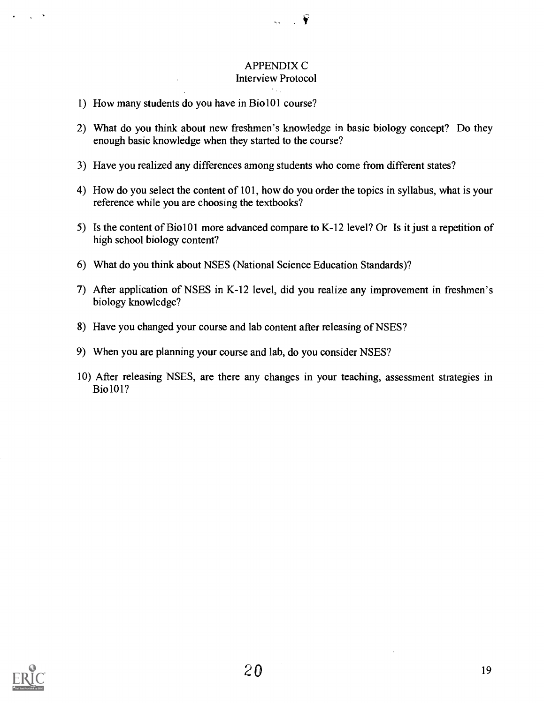## APPENDIX C Interview Protocol

₩

- 1) How many students do you have in Bio101 course?
- 2) What do you think about new freshmen's knowledge in basic biology concept? Do they enough basic knowledge when they started to the course?
- 3) Have you realized any differences among students who come from different states?
- 4) How do you select the content of 101, how do you order the topics in syllabus, what is your reference while you are choosing the textbooks?
- 5) Is the content of Bio101 more advanced compare to K-12 level? Or Is it just a repetition of high school biology content?
- 6) What do you think about NSES (National Science Education Standards)?
- 7) After application of NSES in K-12 level, did you realize any improvement in freshmen's biology knowledge?
- 8) Have you changed your course and lab content after releasing of NSES?
- 9) When you are planning your course and lab, do you consider NSES?
- 10) After releasing NSES, are there any changes in your teaching, assessment strategies in Bio101?



 $\sim 10^{-10}$